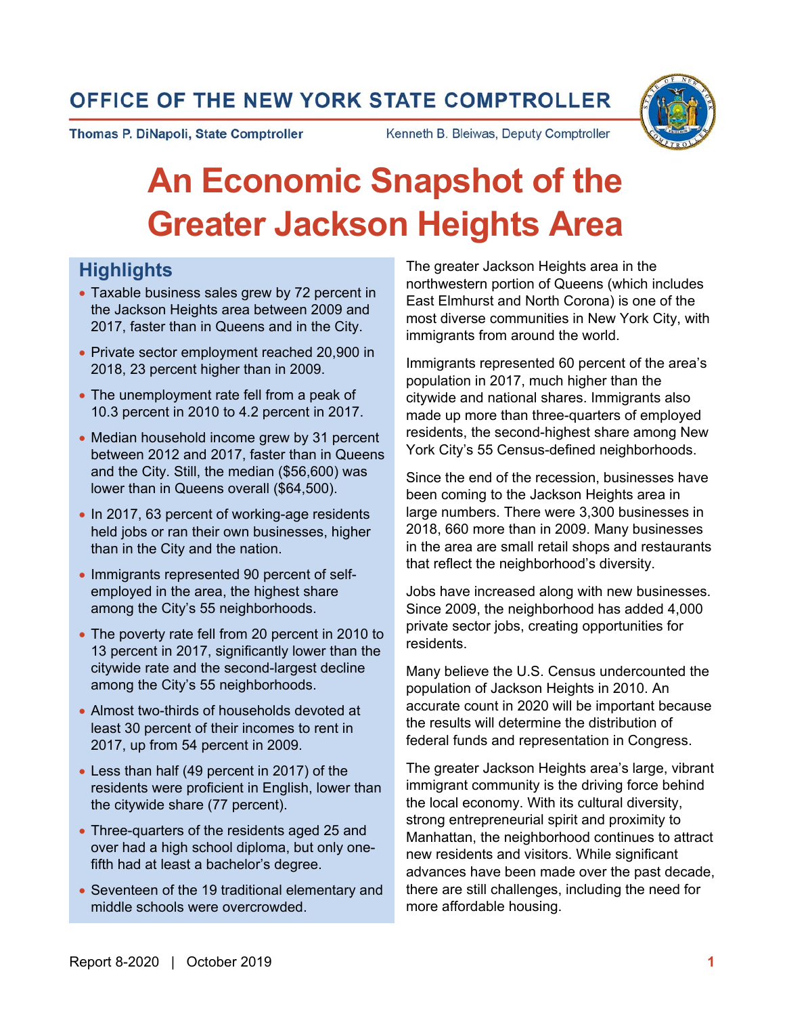# OFFICE OF THE NEW YORK STATE COMPTROLLER

Thomas P. DiNapoli, State Comptroller

Kenneth B. Bleiwas, Deputy Comptroller

# **An Economic Snapshot of the Greater Jackson Heights Area**

# **Highlights**

- Taxable business sales grew by 72 percent in the Jackson Heights area between 2009 and 2017, faster than in Queens and in the City.
- Private sector employment reached 20,900 in 2018, 23 percent higher than in 2009.
- The unemployment rate fell from a peak of 10.3 percent in 2010 to 4.2 percent in 2017.
- Median household income grew by 31 percent between 2012 and 2017, faster than in Queens and the City. Still, the median (\$56,600) was lower than in Queens overall (\$64,500).
- In 2017, 63 percent of working-age residents held jobs or ran their own businesses, higher than in the City and the nation.
- Immigrants represented 90 percent of selfemployed in the area, the highest share among the City's 55 neighborhoods.
- The poverty rate fell from 20 percent in 2010 to 13 percent in 2017, significantly lower than the citywide rate and the second-largest decline among the City's 55 neighborhoods.
- Almost two-thirds of households devoted at least 30 percent of their incomes to rent in 2017, up from 54 percent in 2009.
- Less than half (49 percent in 2017) of the residents were proficient in English, lower than the citywide share (77 percent).
- Three-quarters of the residents aged 25 and over had a high school diploma, but only onefifth had at least a bachelor's degree.
- Seventeen of the 19 traditional elementary and middle schools were overcrowded.

The greater Jackson Heights area in the northwestern portion of Queens (which includes East Elmhurst and North Corona) is one of the most diverse communities in New York City, with immigrants from around the world.

Immigrants represented 60 percent of the area's population in 2017, much higher than the citywide and national shares. Immigrants also made up more than three-quarters of employed residents, the second-highest share among New York City's 55 Census-defined neighborhoods.

Since the end of the recession, businesses have been coming to the Jackson Heights area in large numbers. There were 3,300 businesses in 2018, 660 more than in 2009. Many businesses in the area are small retail shops and restaurants that reflect the neighborhood's diversity.

Jobs have increased along with new businesses. Since 2009, the neighborhood has added 4,000 private sector jobs, creating opportunities for residents.

Many believe the U.S. Census undercounted the population of Jackson Heights in 2010. An accurate count in 2020 will be important because the results will determine the distribution of federal funds and representation in Congress.

The greater Jackson Heights area's large, vibrant immigrant community is the driving force behind the local economy. With its cultural diversity, strong entrepreneurial spirit and proximity to Manhattan, the neighborhood continues to attract new residents and visitors. While significant advances have been made over the past decade, there are still challenges, including the need for more affordable housing.

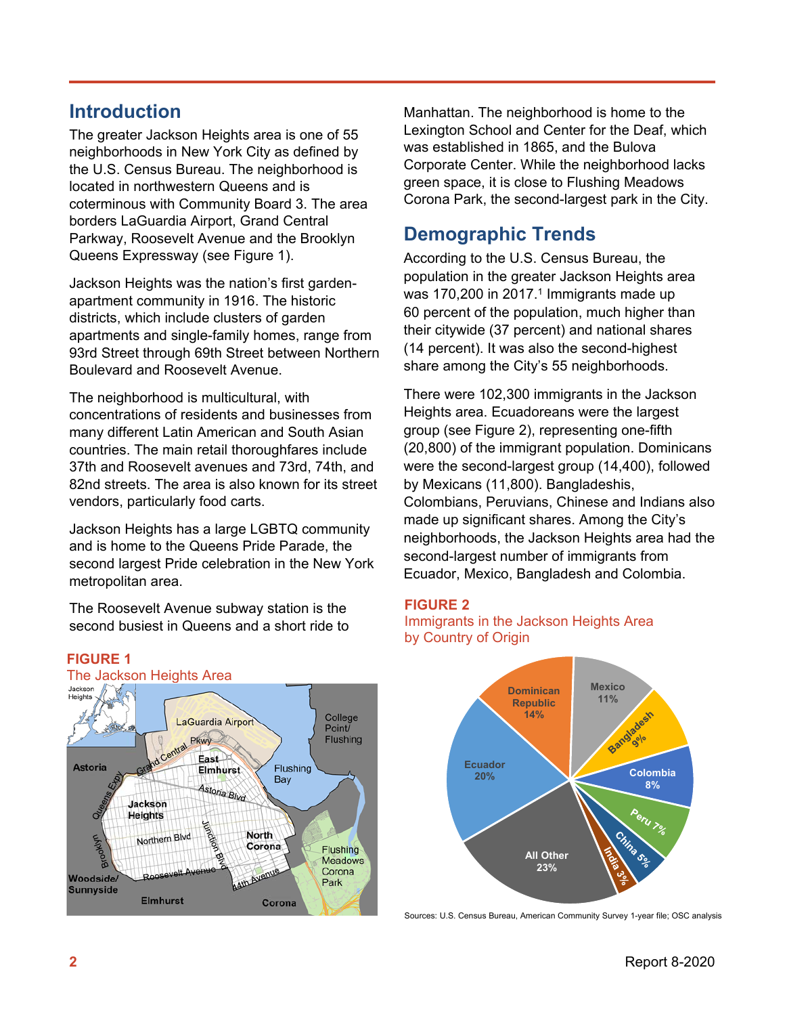### **Introduction**

The greater Jackson Heights area is one of 55 neighborhoods in New York City as defined by the U.S. Census Bureau. The neighborhood is located in northwestern Queens and is coterminous with Community Board 3. The area borders LaGuardia Airport, Grand Central Parkway, Roosevelt Avenue and the Brooklyn Queens Expressway (see Figure 1).

Jackson Heights was the nation's first gardenapartment community in 1916. The historic districts, which include clusters of garden apartments and single-family homes, range from 93rd Street through 69th Street between Northern Boulevard and Roosevelt Avenue.

The neighborhood is multicultural, with concentrations of residents and businesses from many different Latin American and South Asian countries. The main retail thoroughfares include 37th and Roosevelt avenues and 73rd, 74th, and 82nd streets. The area is also known for its street vendors, particularly food carts.

Jackson Heights has a large LGBTQ community and is home to the Queens Pride Parade, the second largest Pride celebration in the New York metropolitan area.

The Roosevelt Avenue subway station is the second busiest in Queens and a short ride to





Manhattan. The neighborhood is home to the Lexington School and Center for the Deaf, which was established in 1865, and the Bulova Corporate Center. While the neighborhood lacks green space, it is close to Flushing Meadows Corona Park, the second-largest park in the City.

# **Demographic Trends**

According to the U.S. Census Bureau, the population in the greater Jackson Heights area was 170,200 in 2017.<sup>1</sup> Immigrants made up 60 percent of the population, much higher than their citywide (37 percent) and national shares (14 percent). It was also the second-highest share among the City's 55 neighborhoods.

There were 102,300 immigrants in the Jackson Heights area. Ecuadoreans were the largest group (see Figure 2), representing one-fifth (20,800) of the immigrant population. Dominicans were the second-largest group (14,400), followed by Mexicans (11,800). Bangladeshis, Colombians, Peruvians, Chinese and Indians also made up significant shares. Among the City's neighborhoods, the Jackson Heights area had the second-largest number of immigrants from Ecuador, Mexico, Bangladesh and Colombia.

#### **FIGURE 2**





Sources: U.S. Census Bureau, American Community Survey 1-year file; OSC analysis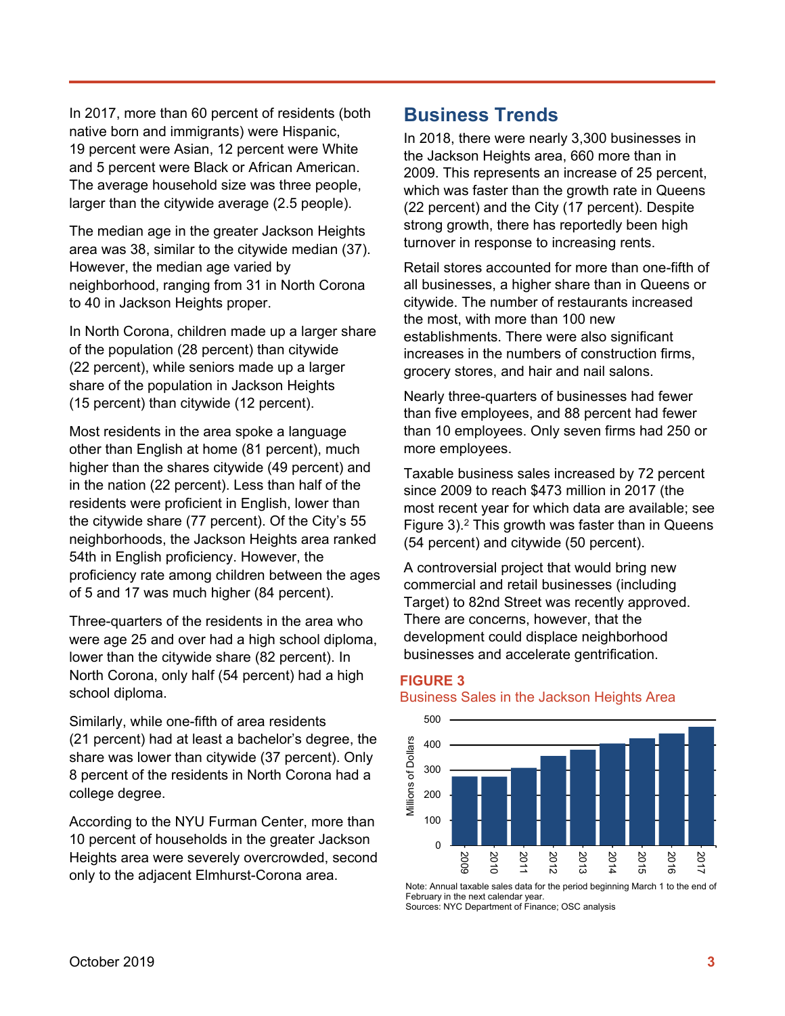In 2017, more than 60 percent of residents (both native born and immigrants) were Hispanic, 19 percent were Asian, 12 percent were White and 5 percent were Black or African American. The average household size was three people, larger than the citywide average (2.5 people).

The median age in the greater Jackson Heights area was 38, similar to the citywide median (37). However, the median age varied by neighborhood, ranging from 31 in North Corona to 40 in Jackson Heights proper.

In North Corona, children made up a larger share of the population (28 percent) than citywide (22 percent), while seniors made up a larger share of the population in Jackson Heights (15 percent) than citywide (12 percent).

Most residents in the area spoke a language other than English at home (81 percent), much higher than the shares citywide (49 percent) and in the nation (22 percent). Less than half of the residents were proficient in English, lower than the citywide share (77 percent). Of the City's 55 neighborhoods, the Jackson Heights area ranked 54th in English proficiency. However, the proficiency rate among children between the ages of 5 and 17 was much higher (84 percent).

Three-quarters of the residents in the area who were age 25 and over had a high school diploma, lower than the citywide share (82 percent). In North Corona, only half (54 percent) had a high school diploma.

Similarly, while one-fifth of area residents (21 percent) had at least a bachelor's degree, the share was lower than citywide (37 percent). Only 8 percent of the residents in North Corona had a college degree.

According to the NYU Furman Center, more than 10 percent of households in the greater Jackson Heights area were severely overcrowded, second only to the adjacent Elmhurst-Corona area.

### **Business Trends**

In 2018, there were nearly 3,300 businesses in the Jackson Heights area, 660 more than in 2009. This represents an increase of 25 percent, which was faster than the growth rate in Queens (22 percent) and the City (17 percent). Despite strong growth, there has reportedly been high turnover in response to increasing rents.

Retail stores accounted for more than one-fifth of all businesses, a higher share than in Queens or citywide. The number of restaurants increased the most, with more than 100 new establishments. There were also significant increases in the numbers of construction firms, grocery stores, and hair and nail salons.

Nearly three-quarters of businesses had fewer than five employees, and 88 percent had fewer than 10 employees. Only seven firms had 250 or more employees.

Taxable business sales increased by 72 percent since 2009 to reach \$473 million in 2017 (the most recent year for which data are available; see Figure 3).2 This growth was faster than in Queens (54 percent) and citywide (50 percent).

A controversial project that would bring new commercial and retail businesses (including Target) to 82nd Street was recently approved. There are concerns, however, that the development could displace neighborhood businesses and accelerate gentrification.

#### **FIGURE 3** Business Sales in the Jackson Heights Area



Note: Annual taxable sales data for the period beginning March 1 to the end of February in the next calendar year. Sources: NYC Department of Finance; OSC analysis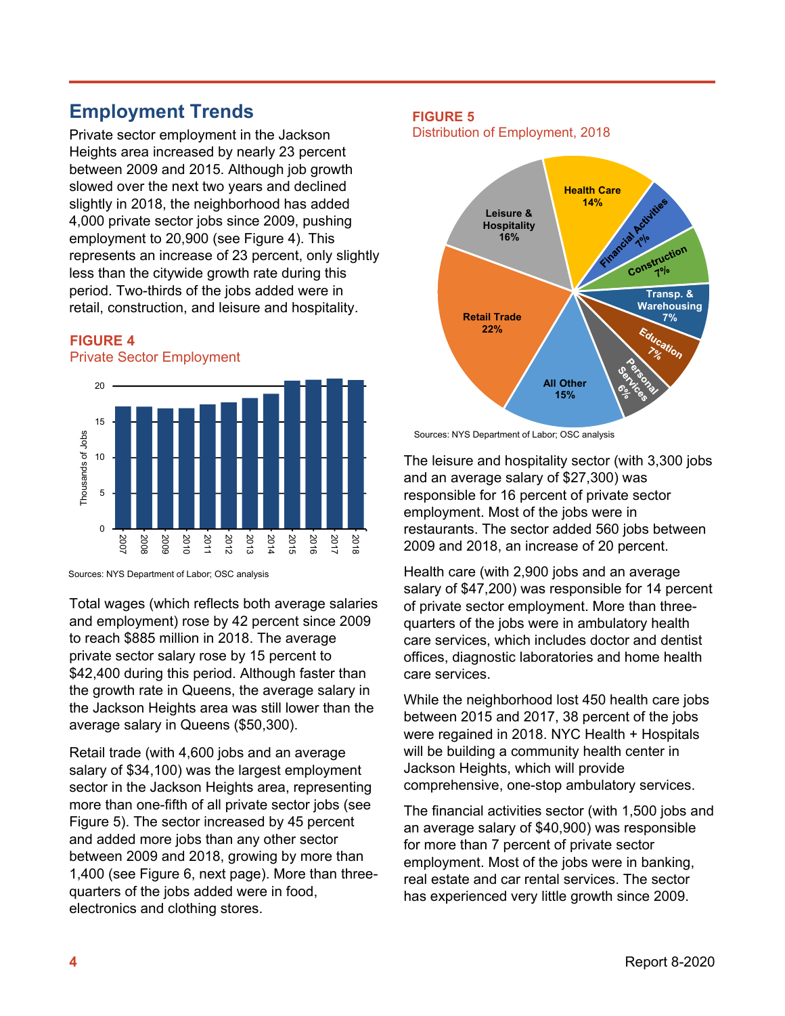# **Employment Trends**

Private sector employment in the Jackson Heights area increased by nearly 23 percent between 2009 and 2015. Although job growth slowed over the next two years and declined slightly in 2018, the neighborhood has added 4,000 private sector jobs since 2009, pushing employment to 20,900 (see Figure 4). This represents an increase of 23 percent, only slightly less than the citywide growth rate during this period. Two-thirds of the jobs added were in retail, construction, and leisure and hospitality.

#### **FIGURE 4**

Private Sector Employment



Total wages (which reflects both average salaries and employment) rose by 42 percent since 2009 to reach \$885 million in 2018. The average private sector salary rose by 15 percent to \$42,400 during this period. Although faster than the growth rate in Queens, the average salary in the Jackson Heights area was still lower than the average salary in Queens (\$50,300).

Retail trade (with 4,600 jobs and an average salary of \$34,100) was the largest employment sector in the Jackson Heights area, representing more than one-fifth of all private sector jobs (see Figure 5). The sector increased by 45 percent and added more jobs than any other sector between 2009 and 2018, growing by more than 1,400 (see Figure 6, next page). More than threequarters of the jobs added were in food, electronics and clothing stores.

#### **FIGURE 5**

Distribution of Employment, 2018



Sources: NYS Department of Labor; OSC analysis

The leisure and hospitality sector (with 3,300 jobs and an average salary of \$27,300) was responsible for 16 percent of private sector employment. Most of the jobs were in restaurants. The sector added 560 jobs between 2009 and 2018, an increase of 20 percent.

Health care (with 2,900 jobs and an average salary of \$47,200) was responsible for 14 percent of private sector employment. More than threequarters of the jobs were in ambulatory health care services, which includes doctor and dentist offices, diagnostic laboratories and home health care services.

While the neighborhood lost 450 health care jobs between 2015 and 2017, 38 percent of the jobs were regained in 2018. NYC Health + Hospitals will be building a community health center in Jackson Heights, which will provide comprehensive, one-stop ambulatory services.

The financial activities sector (with 1,500 jobs and an average salary of \$40,900) was responsible for more than 7 percent of private sector employment. Most of the jobs were in banking, real estate and car rental services. The sector has experienced very little growth since 2009.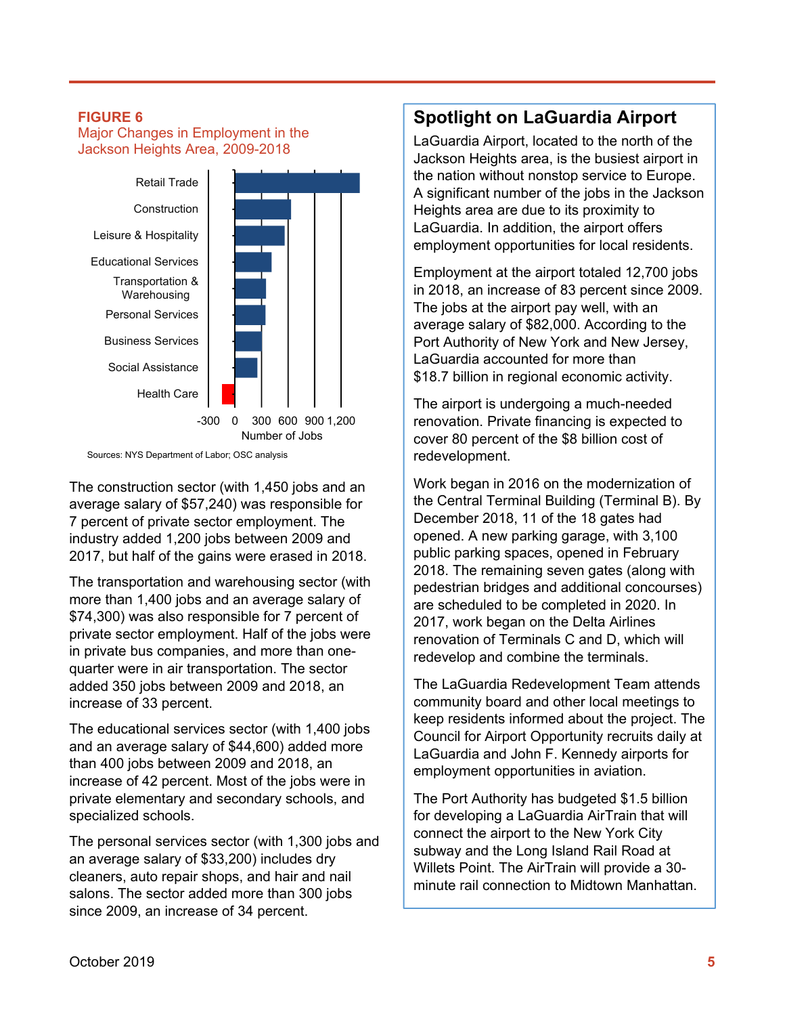#### **FIGURE 6**

Major Changes in Employment in the Jackson Heights Area, 2009-2018



Sources: NYS Department of Labor; OSC analysis

The construction sector (with 1,450 jobs and an average salary of \$57,240) was responsible for 7 percent of private sector employment. The industry added 1,200 jobs between 2009 and 2017, but half of the gains were erased in 2018.

The transportation and warehousing sector (with more than 1,400 jobs and an average salary of \$74,300) was also responsible for 7 percent of private sector employment. Half of the jobs were in private bus companies, and more than onequarter were in air transportation. The sector added 350 jobs between 2009 and 2018, an increase of 33 percent.

The educational services sector (with 1,400 jobs and an average salary of \$44,600) added more than 400 jobs between 2009 and 2018, an increase of 42 percent. Most of the jobs were in private elementary and secondary schools, and specialized schools.

The personal services sector (with 1,300 jobs and an average salary of \$33,200) includes dry cleaners, auto repair shops, and hair and nail salons. The sector added more than 300 jobs since 2009, an increase of 34 percent.

### **Spotlight on LaGuardia Airport**

LaGuardia Airport, located to the north of the Jackson Heights area, is the busiest airport in the nation without nonstop service to Europe. A significant number of the jobs in the Jackson Heights area are due to its proximity to LaGuardia. In addition, the airport offers employment opportunities for local residents.

Employment at the airport totaled 12,700 jobs in 2018, an increase of 83 percent since 2009. The jobs at the airport pay well, with an average salary of \$82,000. According to the Port Authority of New York and New Jersey, LaGuardia accounted for more than \$18.7 billion in regional economic activity.

The airport is undergoing a much-needed renovation. Private financing is expected to cover 80 percent of the \$8 billion cost of redevelopment.

Work began in 2016 on the modernization of the Central Terminal Building (Terminal B). By December 2018, 11 of the 18 gates had opened. A new parking garage, with 3,100 public parking spaces, opened in February 2018. The remaining seven gates (along with pedestrian bridges and additional concourses) are scheduled to be completed in 2020. In 2017, work began on the Delta Airlines renovation of Terminals C and D, which will redevelop and combine the terminals.

The LaGuardia Redevelopment Team attends community board and other local meetings to keep residents informed about the project. The Council for Airport Opportunity recruits daily at LaGuardia and John F. Kennedy airports for employment opportunities in aviation.

The Port Authority has budgeted \$1.5 billion for developing a LaGuardia AirTrain that will connect the airport to the New York City subway and the Long Island Rail Road at Willets Point. The AirTrain will provide a 30 minute rail connection to Midtown Manhattan.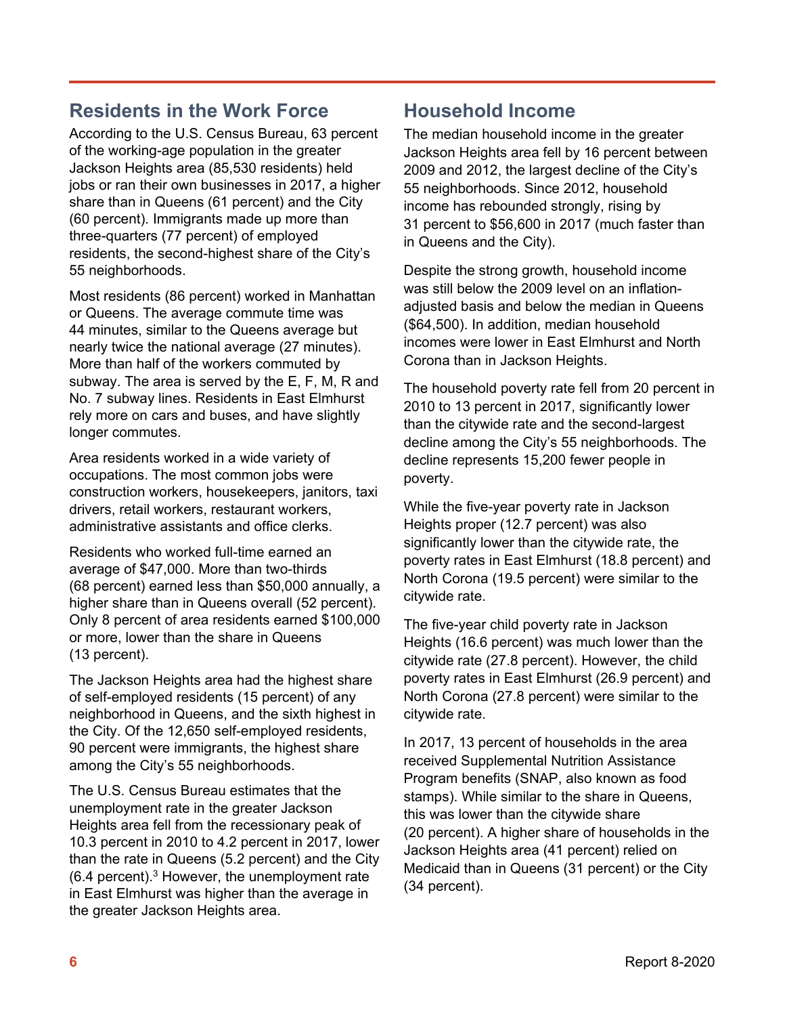# **Residents in the Work Force**

According to the U.S. Census Bureau, 63 percent of the working-age population in the greater Jackson Heights area (85,530 residents) held jobs or ran their own businesses in 2017, a higher share than in Queens (61 percent) and the City (60 percent). Immigrants made up more than three-quarters (77 percent) of employed residents, the second-highest share of the City's 55 neighborhoods.

Most residents (86 percent) worked in Manhattan or Queens. The average commute time was 44 minutes, similar to the Queens average but nearly twice the national average (27 minutes). More than half of the workers commuted by subway. The area is served by the E, F, M, R and No. 7 subway lines. Residents in East Elmhurst rely more on cars and buses, and have slightly longer commutes.

Area residents worked in a wide variety of occupations. The most common jobs were construction workers, housekeepers, janitors, taxi drivers, retail workers, restaurant workers, administrative assistants and office clerks.

Residents who worked full-time earned an average of \$47,000. More than two-thirds (68 percent) earned less than \$50,000 annually, a higher share than in Queens overall (52 percent). Only 8 percent of area residents earned \$100,000 or more, lower than the share in Queens (13 percent).

The Jackson Heights area had the highest share of self-employed residents (15 percent) of any neighborhood in Queens, and the sixth highest in the City. Of the 12,650 self-employed residents, 90 percent were immigrants, the highest share among the City's 55 neighborhoods.

The U.S. Census Bureau estimates that the unemployment rate in the greater Jackson Heights area fell from the recessionary peak of 10.3 percent in 2010 to 4.2 percent in 2017, lower than the rate in Queens (5.2 percent) and the City (6.4 percent).3 However, the unemployment rate in East Elmhurst was higher than the average in the greater Jackson Heights area.

# **Household Income**

The median household income in the greater Jackson Heights area fell by 16 percent between 2009 and 2012, the largest decline of the City's 55 neighborhoods. Since 2012, household income has rebounded strongly, rising by 31 percent to \$56,600 in 2017 (much faster than in Queens and the City).

Despite the strong growth, household income was still below the 2009 level on an inflationadjusted basis and below the median in Queens (\$64,500). In addition, median household incomes were lower in East Elmhurst and North Corona than in Jackson Heights.

The household poverty rate fell from 20 percent in 2010 to 13 percent in 2017, significantly lower than the citywide rate and the second-largest decline among the City's 55 neighborhoods. The decline represents 15,200 fewer people in poverty.

While the five-year poverty rate in Jackson Heights proper (12.7 percent) was also significantly lower than the citywide rate, the poverty rates in East Elmhurst (18.8 percent) and North Corona (19.5 percent) were similar to the citywide rate.

The five-year child poverty rate in Jackson Heights (16.6 percent) was much lower than the citywide rate (27.8 percent). However, the child poverty rates in East Elmhurst (26.9 percent) and North Corona (27.8 percent) were similar to the citywide rate.

In 2017, 13 percent of households in the area received Supplemental Nutrition Assistance Program benefits (SNAP, also known as food stamps). While similar to the share in Queens, this was lower than the citywide share (20 percent). A higher share of households in the Jackson Heights area (41 percent) relied on Medicaid than in Queens (31 percent) or the City (34 percent).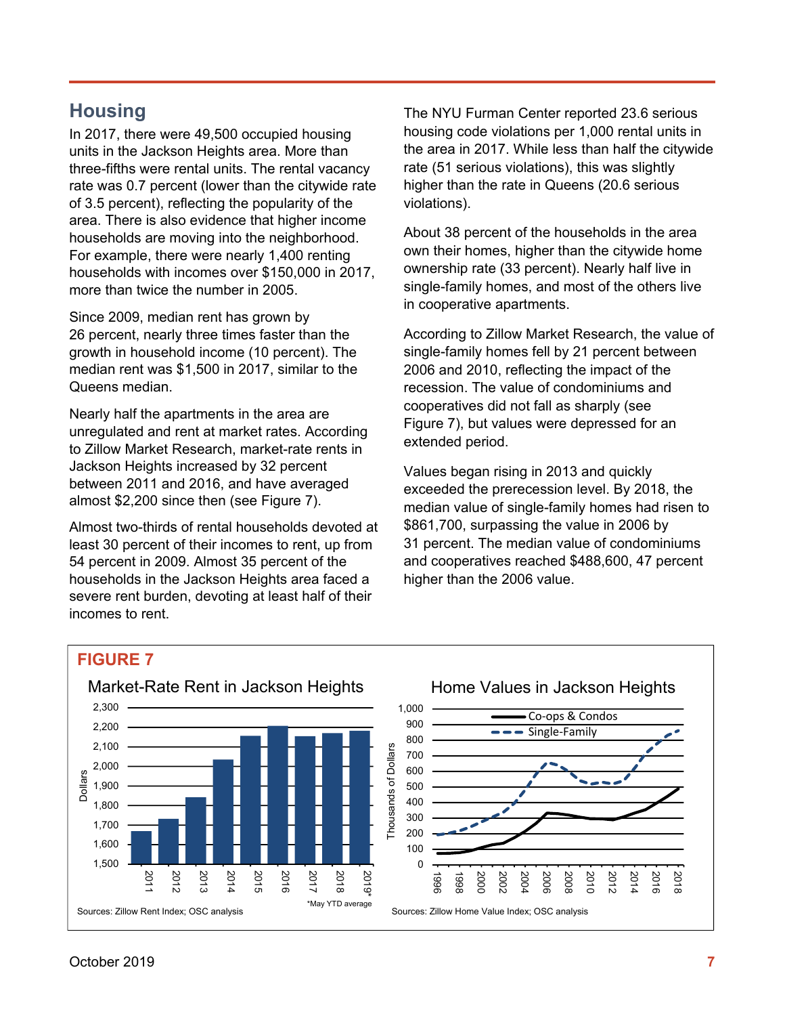# **Housing**

In 2017, there were 49,500 occupied housing units in the Jackson Heights area. More than three-fifths were rental units. The rental vacancy rate was 0.7 percent (lower than the citywide rate of 3.5 percent), reflecting the popularity of the area. There is also evidence that higher income households are moving into the neighborhood. For example, there were nearly 1,400 renting households with incomes over \$150,000 in 2017, more than twice the number in 2005.

Since 2009, median rent has grown by 26 percent, nearly three times faster than the growth in household income (10 percent). The median rent was \$1,500 in 2017, similar to the Queens median.

Nearly half the apartments in the area are unregulated and rent at market rates. According to Zillow Market Research, market-rate rents in Jackson Heights increased by 32 percent between 2011 and 2016, and have averaged almost \$2,200 since then (see Figure 7).

Almost two-thirds of rental households devoted at least 30 percent of their incomes to rent, up from 54 percent in 2009. Almost 35 percent of the households in the Jackson Heights area faced a severe rent burden, devoting at least half of their incomes to rent.

The NYU Furman Center reported 23.6 serious housing code violations per 1,000 rental units in the area in 2017. While less than half the citywide rate (51 serious violations), this was slightly higher than the rate in Queens (20.6 serious violations).

About 38 percent of the households in the area own their homes, higher than the citywide home ownership rate (33 percent). Nearly half live in single-family homes, and most of the others live in cooperative apartments.

According to Zillow Market Research, the value of single-family homes fell by 21 percent between 2006 and 2010, reflecting the impact of the recession. The value of condominiums and cooperatives did not fall as sharply (see Figure 7), but values were depressed for an extended period.

Values began rising in 2013 and quickly exceeded the prerecession level. By 2018, the median value of single-family homes had risen to \$861,700, surpassing the value in 2006 by 31 percent. The median value of condominiums and cooperatives reached \$488,600, 47 percent higher than the 2006 value.

### **FIGURE 7**